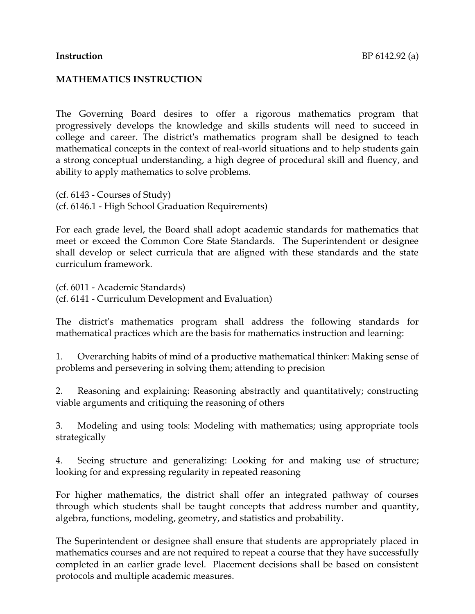## **MATHEMATICS INSTRUCTION**

The Governing Board desires to offer a rigorous mathematics program that progressively develops the knowledge and skills students will need to succeed in college and career. The district's mathematics program shall be designed to teach mathematical concepts in the context of real-world situations and to help students gain a strong conceptual understanding, a high degree of procedural skill and fluency, and ability to apply mathematics to solve problems.

(cf. 6143 - Courses of Study) (cf. 6146.1 - High School Graduation Requirements)

For each grade level, the Board shall adopt academic standards for mathematics that meet or exceed the Common Core State Standards. The Superintendent or designee shall develop or select curricula that are aligned with these standards and the state curriculum framework.

(cf. 6011 - Academic Standards) (cf. 6141 - Curriculum Development and Evaluation)

The district's mathematics program shall address the following standards for mathematical practices which are the basis for mathematics instruction and learning:

1. Overarching habits of mind of a productive mathematical thinker: Making sense of problems and persevering in solving them; attending to precision

2. Reasoning and explaining: Reasoning abstractly and quantitatively; constructing viable arguments and critiquing the reasoning of others

3. Modeling and using tools: Modeling with mathematics; using appropriate tools strategically

4. Seeing structure and generalizing: Looking for and making use of structure; looking for and expressing regularity in repeated reasoning

For higher mathematics, the district shall offer an integrated pathway of courses through which students shall be taught concepts that address number and quantity, algebra, functions, modeling, geometry, and statistics and probability.

The Superintendent or designee shall ensure that students are appropriately placed in mathematics courses and are not required to repeat a course that they have successfully completed in an earlier grade level. Placement decisions shall be based on consistent protocols and multiple academic measures.